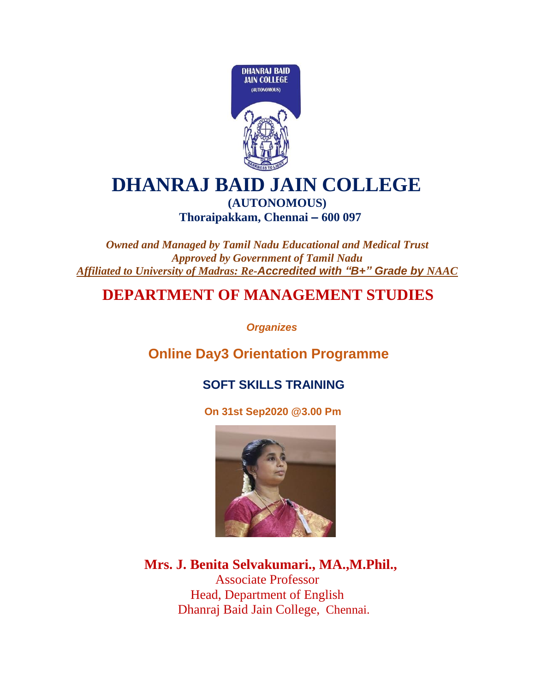

#### **DHANRAJ BAID JAIN COLLEGE**

#### **(AUTONOMOUS) Thoraipakkam, Chennai – 600 097**

*Owned and Managed by Tamil Nadu Educational and Medical Trust Approved by Government of Tamil Nadu Affiliated to University of Madras: Re-Accredited with "B+" Grade by NAAC*

#### **DEPARTMENT OF MANAGEMENT STUDIES**

 *Organizes*

 **Online Day3 Orientation Programme**

#### **SOFT SKILLS TRAINING**

 **On 31st Sep2020 @3.00 Pm**



 **Mrs. J. Benita Selvakumari., MA.,M.Phil.,** Associate Professor Head, Department of English Dhanraj Baid Jain College, Chennai.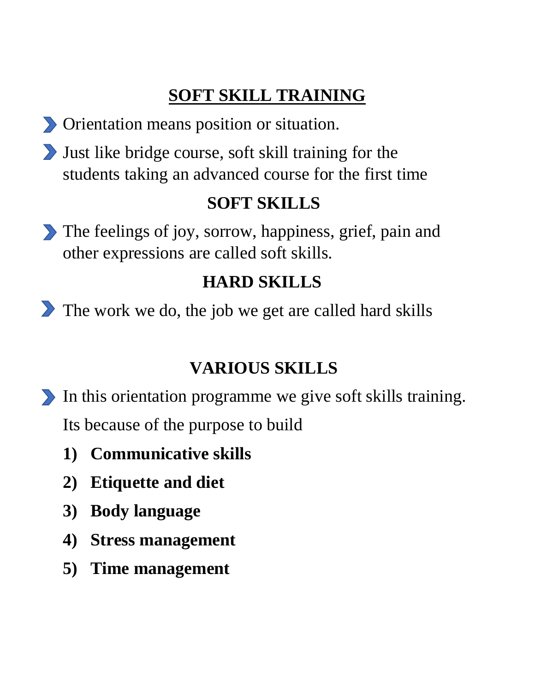## **SOFT SKILL TRAINING**

- Orientation means position or situation.
- Just like bridge course, soft skill training for the students taking an advanced course for the first time

#### **SOFT SKILLS**

The feelings of joy, sorrow, happiness, grief, pain and other expressions are called soft skills.

### **HARD SKILLS**

The work we do, the job we get are called hard skills

#### **VARIOUS SKILLS**

- In this orientation programme we give soft skills training. Its because of the purpose to build
	- **1) Communicative skills**
	- **2) Etiquette and diet**
	- **3) Body language**
	- **4) Stress management**
	- **5) Time management**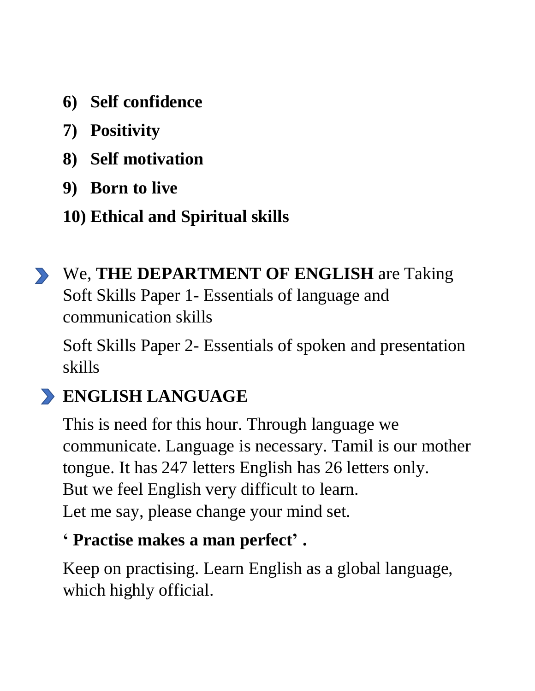- **6) Self confidence**
- **7) Positivity**
- **8) Self motivation**
- **9) Born to live**
- **10) Ethical and Spiritual skills**
- We, **THE DEPARTMENT OF ENGLISH** are Taking Soft Skills Paper 1- Essentials of language and communication skills

Soft Skills Paper 2- Essentials of spoken and presentation skills

#### **ENGLISH LANGUAGE**

This is need for this hour. Through language we communicate. Language is necessary. Tamil is our mother tongue. It has 247 letters English has 26 letters only. But we feel English very difficult to learn. Let me say, please change your mind set.

#### **' Practise makes a man perfect' .**

Keep on practising. Learn English as a global language, which highly official.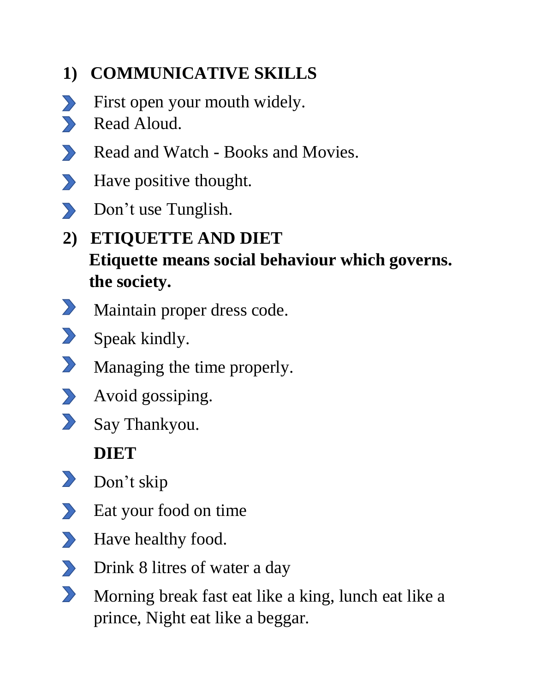#### **1) COMMUNICATIVE SKILLS**

- First open your mouth widely.  $\sum$
- Read Aloud.  $\blacktriangleright$
- $\sum$ Read and Watch - Books and Movies.
- $\sum$ Have positive thought.
- Don't use Tunglish.
- **2) ETIQUETTE AND DIET Etiquette means social behaviour which governs. the society.**
- $\sum$ Maintain proper dress code.
- $\sum$ Speak kindly.
- $\sum$ Managing the time properly.
- $\sum$ Avoid gossiping.
- $\sum$ Say Thankyou.

#### **DIET**

- $\sum$ Don't skip
- Eat your food on time  $\sum$
- Have healthy food.  $\sum$
- $\sum$ Drink 8 litres of water a day
- $\sum$ Morning break fast eat like a king, lunch eat like a prince, Night eat like a beggar.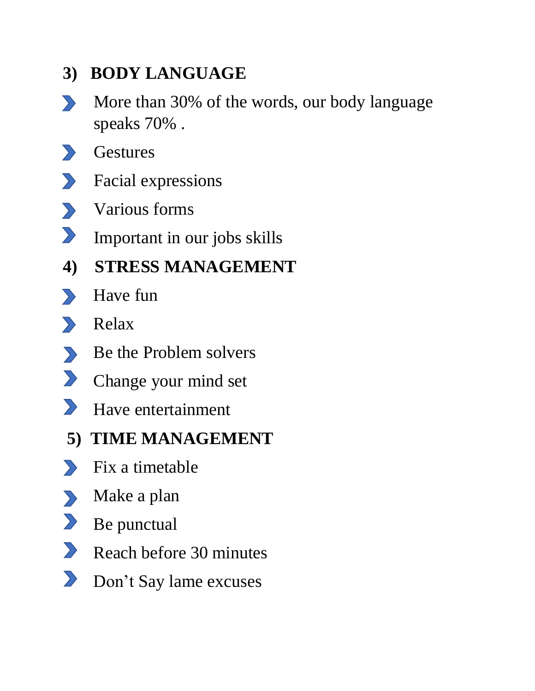#### **3) BODY LANGUAGE**

- More than 30% of the words, our body language  $\sum$ speaks 70% .
- **Gestures**  $\sum$
- Facial expressions  $\sum$
- Various forms  $\sum$
- $\sum$ Important in our jobs skills
- **4) STRESS MANAGEMENT**
- **B** Have fun
- Relax
- Be the Problem solvers
- Change your mind set
- Have entertainment
- **5) TIME MANAGEMENT**
- **Ex** a timetable
- Make a plan
- Be punctual
- Reach before 30 minutes
- Don't Say lame excuses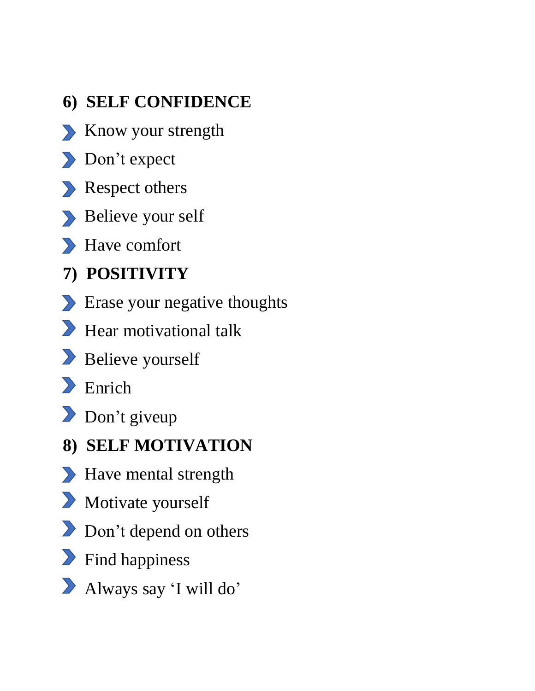- **6) SELF CONFIDENCE**
- Know your strength
- Don't expect
- Respect others
- Believe your self
- Have comfort
- **7) POSITIVITY**
- **Example 1** Erase your negative thoughts
- Hear motivational talk
- Believe yourself
- **Enrich**
- Don't giveup
- **8) SELF MOTIVATION**
- **Example 3 Have mental strength**
- Motivate yourself
- Don't depend on others
- **Find happiness**
- Always say 'I will do'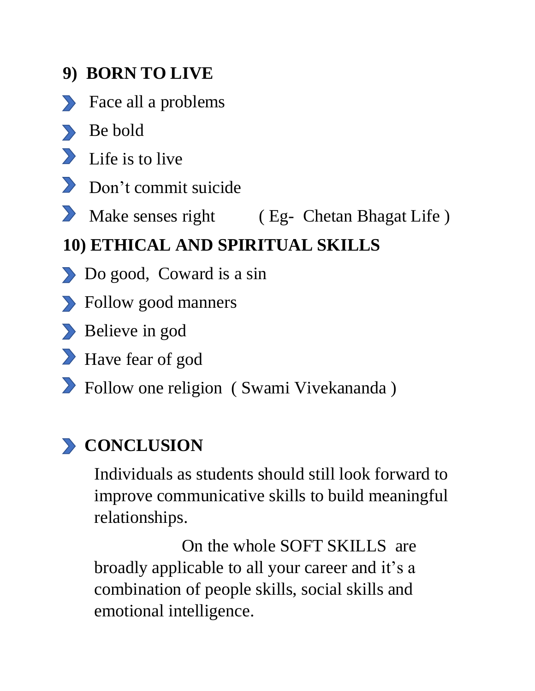#### **9) BORN TO LIVE**

- Face all a problems
- Be bold
- $\sum$  Life is to live
- **Don't commit suicide**
- Make senses right (Eg- Chetan Bhagat Life)

#### **10) ETHICAL AND SPIRITUAL SKILLS**

- Do good, Coward is a sin
- Follow good manners
- Believe in god
- Have fear of god
- Follow one religion ( Swami Vivekananda )

## **EXECUTE CONCLUSION**

Individuals as students should still look forward to improve communicative skills to build meaningful relationships.

 On the whole SOFT SKILLS are broadly applicable to all your career and it's a combination of people skills, social skills and emotional intelligence.